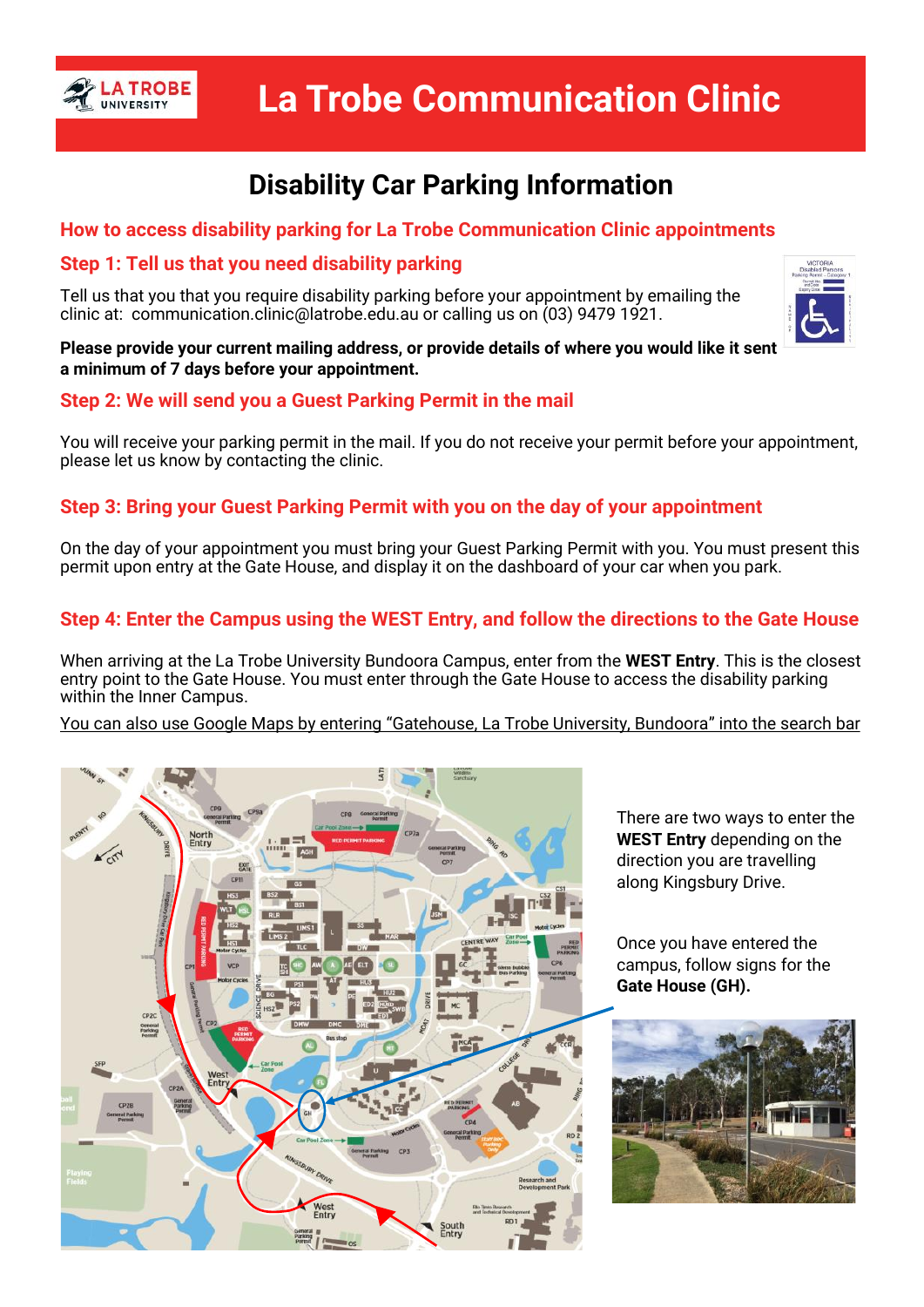

# **Disability Car Parking Information**

## **How to access disability parking for La Trobe Communication Clinic appointments**

### **Step 1: Tell us that you need disability parking**

Tell us that you that you require disability parking before your appointment by emailing the clinic at: communication.clinic@latrobe.edu.au or calling us on (03) 9479 1921.



#### **Please provide your current mailing address, or provide details of where you would like it sent a minimum of 7 days before your appointment.**

# **Step 2: We will send you a Guest Parking Permit in the mail**

You will receive your parking permit in the mail. If you do not receive your permit before your appointment, please let us know by contacting the clinic.

# **Step 3: Bring your Guest Parking Permit with you on the day of your appointment**

On the day of your appointment you must bring your Guest Parking Permit with you. You must present this permit upon entry at the Gate House, and display it on the dashboard of your car when you park.

# **Step 4: Enter the Campus using the WEST Entry, and follow the directions to the Gate House**

When arriving at the La Trobe University Bundoora Campus, enter from the **WEST Entry**. This is the closest entry point to the Gate House. You must enter through the Gate House to access the disability parking within the Inner Campus.

You can also use Google Maps by entering "Gatehouse, La Trobe University, Bundoora" into the search bar



There are two ways to enter the **WEST Entry** depending on the direction you are travelling along Kingsbury Drive.

Once you have entered the campus, follow signs for the **Gate House (GH).**